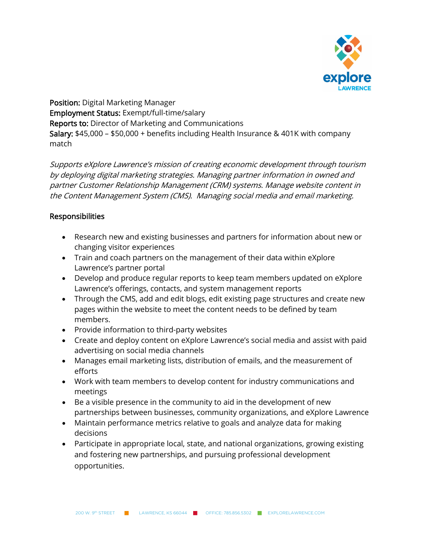

Position: Digital Marketing Manager Employment Status: Exempt/full-time/salary Reports to: Director of Marketing and Communications Salary: \$45,000 – \$50,000 + benefits including Health Insurance & 401K with company match

Supports eXplore Lawrence's mission of creating economic development through tourism by deploying digital marketing strategies. Managing partner information in owned and partner Customer Relationship Management (CRM) systems. Manage website content in the Content Management System (CMS). Managing social media and email marketing.

## Responsibilities

- Research new and existing businesses and partners for information about new or changing visitor experiences
- Train and coach partners on the management of their data within eXplore Lawrence's partner portal
- Develop and produce regular reports to keep team members updated on eXplore Lawrence's offerings, contacts, and system management reports
- Through the CMS, add and edit blogs, edit existing page structures and create new pages within the website to meet the content needs to be defined by team members.
- Provide information to third-party websites
- Create and deploy content on eXplore Lawrence's social media and assist with paid advertising on social media channels
- Manages email marketing lists, distribution of emails, and the measurement of efforts
- Work with team members to develop content for industry communications and meetings
- Be a visible presence in the community to aid in the development of new partnerships between businesses, community organizations, and eXplore Lawrence
- Maintain performance metrics relative to goals and analyze data for making decisions
- Participate in appropriate local, state, and national organizations, growing existing and fostering new partnerships, and pursuing professional development opportunities.